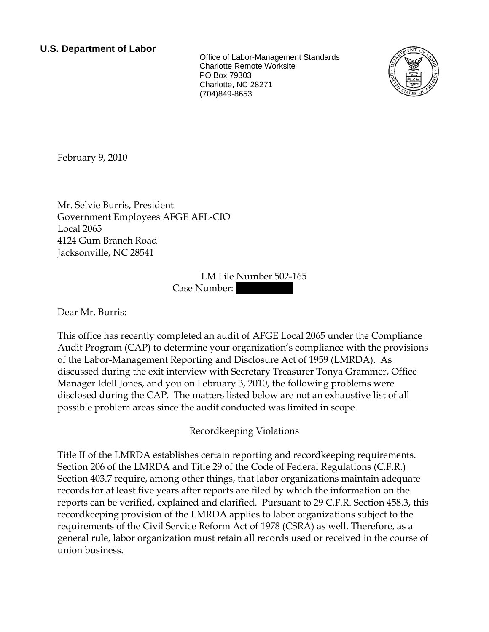**U.S. Department of Labor**<br>Office of Labor-Management Standards Charlotte Remote Worksite PO Box 79303 Charlotte, NC 28271 (704)849-8653



<span id="page-0-0"></span>February 9, 2010

[Mr.](#page-0-0) [Selvie](#page-0-0) [Burris](#page-0-0), [President](#page-0-0)  [Government Employees AFGE AFL-CIO](#page-0-0)  [Local 2065](#page-0-0)  [4124 Gum Branch Road](#page-0-0)  [Jacksonville, NC 28541](#page-0-0) 

> LM File Number [502-165](#page-0-0)  Case Number:

Dear [Mr.](#page-0-0) [Burris:](#page-0-0)

This office has recently completed an audit of [AFGE Local 2065](#page-0-0) under the Compliance Audit Program (CAP) to determine your organization's compliance with the provisions of the Labor-Management Reporting and Disclosure Act of 1959 (LMRDA). As discussed during the exit interview with [Secretary Treasurer Tonya Grammer, Office](#page-0-0)  [Manager Idell Jones, and you](#page-0-0) on [February 3, 2010,](#page-0-0) the following problems were disclosed during the CAP. The matters listed below are not an exhaustive list of all possible problem areas since the audit conducted was limited in scope.

# Recordkeeping Violations

Title II of the LMRDA establishes certain reporting and recordkeeping requirements. Section 206 of the LMRDA and Title 29 of the Code of Federal Regulations (C.F.R.) Section 403.7 require, among other things, that labor organizations maintain adequate records for at least five years after reports are filed by which the information on the reports can be verified, explained and clarified. Pursuant to 29 C.F.R. Section 458.3, this recordkeeping provision of the LMRDA applies to labor organizations subject to the requirements of the Civil Service Reform Act of 1978 (CSRA) as well. Therefore, as a general rule, labor organization must retain all records used or received in the course of union business.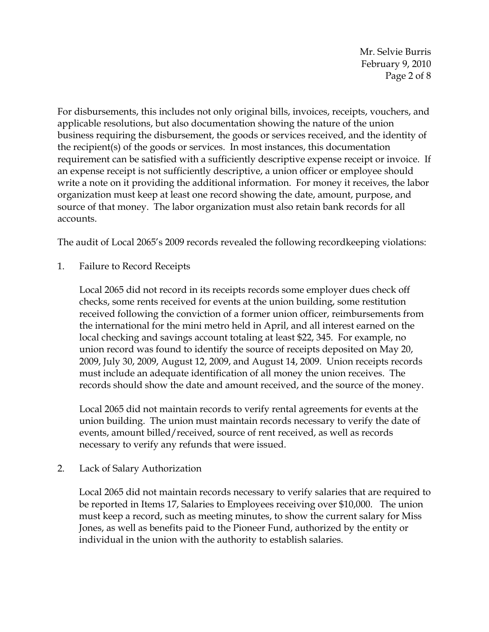Mr. Selvie Burris February 9, 2010 Page 2 of 8

For disbursements, this includes not only original bills, invoices, receipts, vouchers, and applicable resolutions, but also documentation showing the nature of the union business requiring the disbursement, the goods or services received, and the identity of the recipient(s) of the goods or services. In most instances, this documentation requirement can be satisfied with a sufficiently descriptive expense receipt or invoice. If an expense receipt is not sufficiently descriptive, a union officer or employee should write a note on it providing the additional information. For money it receives, the labor organization must keep at least one record showing the date, amount, purpose, and source of that money. The labor organization must also retain bank records for all accounts.

The audit of Local 2065's 2009 records revealed the following recordkeeping violations:

1. Failure to Record Receipts

Local 2065 did not record in its receipts records some employer dues check off checks, some rents received for events at the union building, some restitution received following the conviction of a former union officer, reimbursements from the international for the mini metro held in April, and all interest earned on the local checking and savings account totaling at least \$22, 345. For example, no union record was found to identify the source of receipts deposited on May 20, 2009, July 30, 2009, August 12, 2009, and August 14, 2009. Union receipts records must include an adequate identification of all money the union receives. The records should show the date and amount received, and the source of the money.

Local 2065 did not maintain records to verify rental agreements for events at the union building. The union must maintain records necessary to verify the date of events, amount billed/received, source of rent received, as well as records necessary to verify any refunds that were issued.

2. Lack of Salary Authorization

Local 2065 did not maintain records necessary to verify salaries that are required to be reported in Items 17, Salaries to Employees receiving over \$10,000. The union must keep a record, such as meeting minutes, to show the current salary for Miss Jones, as well as benefits paid to the Pioneer Fund, authorized by the entity or individual in the union with the authority to establish salaries.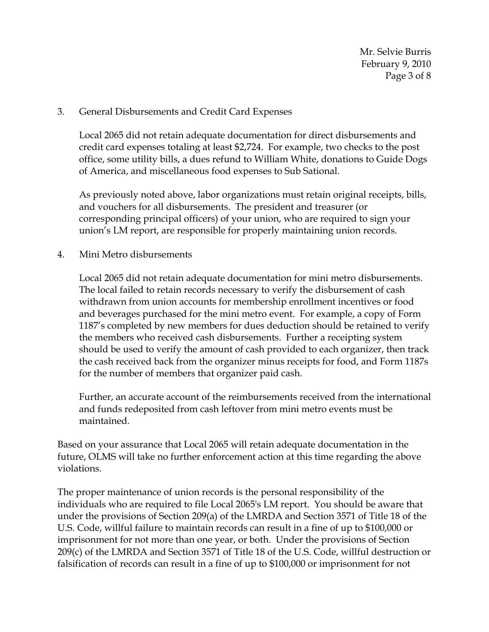Mr. Selvie Burris February 9, 2010 Page 3 of 8

#### 3. General Disbursements and Credit Card Expenses

Local 2065 did not retain adequate documentation for direct disbursements and credit card expenses totaling at least \$2,724. For example, two checks to the post office, some utility bills, a dues refund to William White, donations to Guide Dogs of America, and miscellaneous food expenses to Sub Sational.

As previously noted above, labor organizations must retain original receipts, bills, and vouchers for all disbursements. The president and treasurer (or corresponding principal officers) of your union, who are required to sign your union's LM report, are responsible for properly maintaining union records.

4. Mini Metro disbursements

Local 2065 did not retain adequate documentation for mini metro disbursements. The local failed to retain records necessary to verify the disbursement of cash withdrawn from union accounts for membership enrollment incentives or food and beverages purchased for the mini metro event. For example, a copy of Form 1187's completed by new members for dues deduction should be retained to verify the members who received cash disbursements. Further a receipting system should be used to verify the amount of cash provided to each organizer, then track the cash received back from the organizer minus receipts for food, and Form 1187s for the number of members that organizer paid cash.

Further, an accurate account of the reimbursements received from the international and funds redeposited from cash leftover from mini metro events must be maintained.

Based on your assurance that Local 2065 will retain adequate documentation in the future, OLMS will take no further enforcement action at this time regarding the above violations.

The proper maintenance of union records is the personal responsibility of the individuals who are required to file Local 2065's LM report. You should be aware that under the provisions of Section 209(a) of the LMRDA and Section 3571 of Title 18 of the U.S. Code, willful failure to maintain records can result in a fine of up to \$100,000 or imprisonment for not more than one year, or both. Under the provisions of Section 209(c) of the LMRDA and Section 3571 of Title 18 of the U.S. Code, willful destruction or falsification of records can result in a fine of up to \$100,000 or imprisonment for not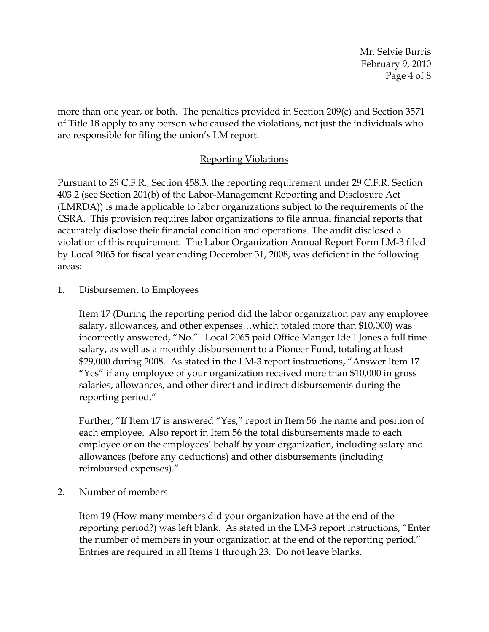Mr. Selvie Burris February 9, 2010 Page 4 of 8

more than one year, or both. The penalties provided in Section 209(c) and Section 3571 of Title 18 apply to any person who caused the violations, not just the individuals who are responsible for filing the union's LM report.

## Reporting Violations

Pursuant to 29 C.F.R., Section 458.3, the reporting requirement under 29 C.F.R. Section 403.2 (see Section 201(b) of the Labor-Management Reporting and Disclosure Act (LMRDA)) is made applicable to labor organizations subject to the requirements of the CSRA. This provision requires labor organizations to file annual financial reports that accurately disclose their financial condition and operations. The audit disclosed a violation of this requirement. The Labor Organization Annual Report Form LM-3 filed by Local 2065 for fiscal year ending December 31, 2008, was deficient in the following areas:

1. Disbursement to Employees

Item 17 (During the reporting period did the labor organization pay any employee salary, allowances, and other expenses…which totaled more than \$10,000) was incorrectly answered, "No." Local 2065 paid Office Manger Idell Jones a full time salary, as well as a monthly disbursement to a Pioneer Fund, totaling at least \$29,000 during 2008. As stated in the LM-3 report instructions, "Answer Item 17 "Yes" if any employee of your organization received more than \$10,000 in gross salaries, allowances, and other direct and indirect disbursements during the reporting period."

Further, "If Item 17 is answered "Yes," report in Item 56 the name and position of each employee. Also report in Item 56 the total disbursements made to each employee or on the employees' behalf by your organization, including salary and allowances (before any deductions) and other disbursements (including reimbursed expenses)."

2. Number of members

Item 19 (How many members did your organization have at the end of the reporting period?) was left blank. As stated in the LM-3 report instructions, "Enter the number of members in your organization at the end of the reporting period." Entries are required in all Items 1 through 23. Do not leave blanks.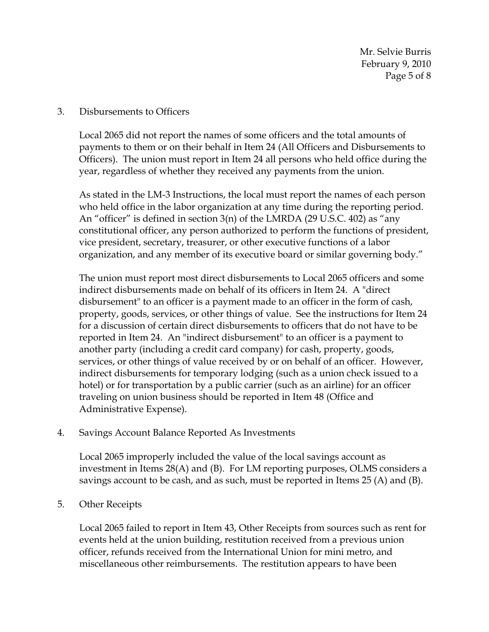Mr. Selvie Burris February 9, 2010 Page 5 of 8

#### 3. Disbursements to Officers

Local 2065 did not report the names of some officers and the total amounts of payments to them or on their behalf in Item 24 (All Officers and Disbursements to Officers). The union must report in Item 24 all persons who held office during the year, regardless of whether they received any payments from the union.

As stated in the LM-3 Instructions, the local must report the names of each person who held office in the labor organization at any time during the reporting period. An "officer" is defined in section 3(n) of the LMRDA (29 U.S.C. 402) as "any constitutional officer, any person authorized to perform the functions of president, vice president, secretary, treasurer, or other executive functions of a labor organization, and any member of its executive board or similar governing body."

The union must report most direct disbursements to Local 2065 officers and some indirect disbursements made on behalf of its officers in Item 24. A "direct disbursement" to an officer is a payment made to an officer in the form of cash, property, goods, services, or other things of value. See the instructions for Item 24 for a discussion of certain direct disbursements to officers that do not have to be reported in Item 24. An "indirect disbursement" to an officer is a payment to another party (including a credit card company) for cash, property, goods, services, or other things of value received by or on behalf of an officer. However, indirect disbursements for temporary lodging (such as a union check issued to a hotel) or for transportation by a public carrier (such as an airline) for an officer traveling on union business should be reported in Item 48 (Office and Administrative Expense).

4. Savings Account Balance Reported As Investments

Local 2065 improperly included the value of the local savings account as investment in Items 28(A) and (B). For LM reporting purposes, OLMS considers a savings account to be cash, and as such, must be reported in Items 25 (A) and (B).

5. Other Receipts

Local 2065 failed to report in Item 43, Other Receipts from sources such as rent for events held at the union building, restitution received from a previous union officer, refunds received from the International Union for mini metro, and miscellaneous other reimbursements. The restitution appears to have been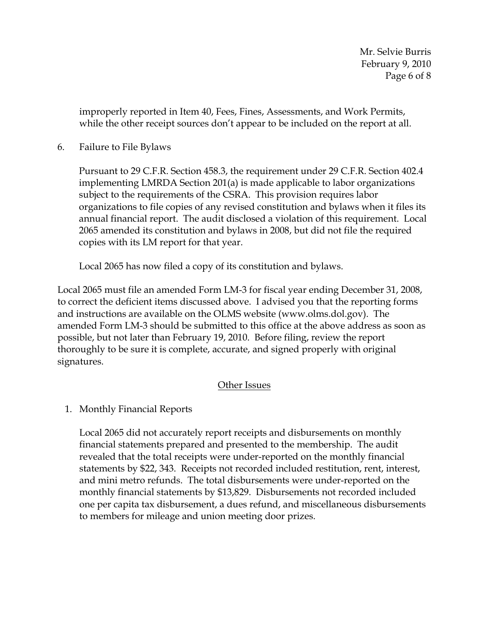improperly reported in Item 40, Fees, Fines, Assessments, and Work Permits, while the other receipt sources don't appear to be included on the report at all.

## 6. Failure to File Bylaws

Pursuant to 29 C.F.R. Section 458.3, the requirement under 29 C.F.R. Section 402.4 implementing LMRDA Section 201(a) is made applicable to labor organizations subject to the requirements of the CSRA. This provision requires labor organizations to file copies of any revised constitution and bylaws when it files its annual financial report. The audit disclosed a violation of this requirement. Local 2065 amended its constitution and bylaws in 2008, but did not file the required copies with its LM report for that year.

Local 2065 has now filed a copy of its constitution and bylaws.

Local 2065 must file an amended Form LM-3 for fiscal year ending December 31, 2008, to correct the deficient items discussed above. I advised you that the reporting forms and instructions are available on the OLMS website (www.olms.dol.gov). The amended Form LM-3 should be submitted to this office at the above address as soon as possible, but not later than February 19, 2010. Before filing, review the report thoroughly to be sure it is complete, accurate, and signed properly with original signatures.

# Other Issues

1. Monthly Financial Reports

Local 2065 did not accurately report receipts and disbursements on monthly financial statements prepared and presented to the membership. The audit revealed that the total receipts were under-reported on the monthly financial statements by \$22, 343. Receipts not recorded included restitution, rent, interest, and mini metro refunds. The total disbursements were under-reported on the monthly financial statements by \$13,829. Disbursements not recorded included one per capita tax disbursement, a dues refund, and miscellaneous disbursements to members for mileage and union meeting door prizes.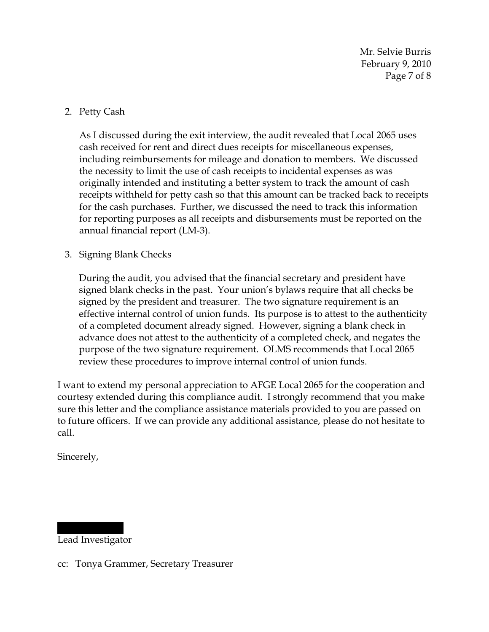Mr. Selvie Burris February 9, 2010 Page 7 of 8

## 2. Petty Cash

As I discussed during the exit interview, the audit revealed that Local 2065 uses cash received for rent and direct dues receipts for miscellaneous expenses, including reimbursements for mileage and donation to members. We discussed the necessity to limit the use of cash receipts to incidental expenses as was originally intended and instituting a better system to track the amount of cash receipts withheld for petty cash so that this amount can be tracked back to receipts for the cash purchases. Further, we discussed the need to track this information for reporting purposes as all receipts and disbursements must be reported on the annual financial report (LM-3).

## 3. Signing Blank Checks

During the audit, you advised that the financial secretary and president have signed blank checks in the past. Your union's bylaws require that all checks be signed by the president and treasurer. The two signature requirement is an effective internal control of union funds. Its purpose is to attest to the authenticity of a completed document already signed. However, signing a blank check in advance does not attest to the authenticity of a completed check, and negates the purpose of the two signature requirement. OLMS recommends that Local 2065 review these procedures to improve internal control of union funds.

I want to extend my personal appreciation to [AFGE Local 2065](#page-0-0) for the cooperation and courtesy extended during this compliance audit. I strongly recommend that you make sure this letter and the compliance assistance materials provided to you are passed on to future officers. If we can provide any additional assistance, please do not hesitate to call.

Sincerely,

|||||| ||||| Lead Investigator

cc: [Tonya Grammer, Secretary Treasurer](#page-0-0)